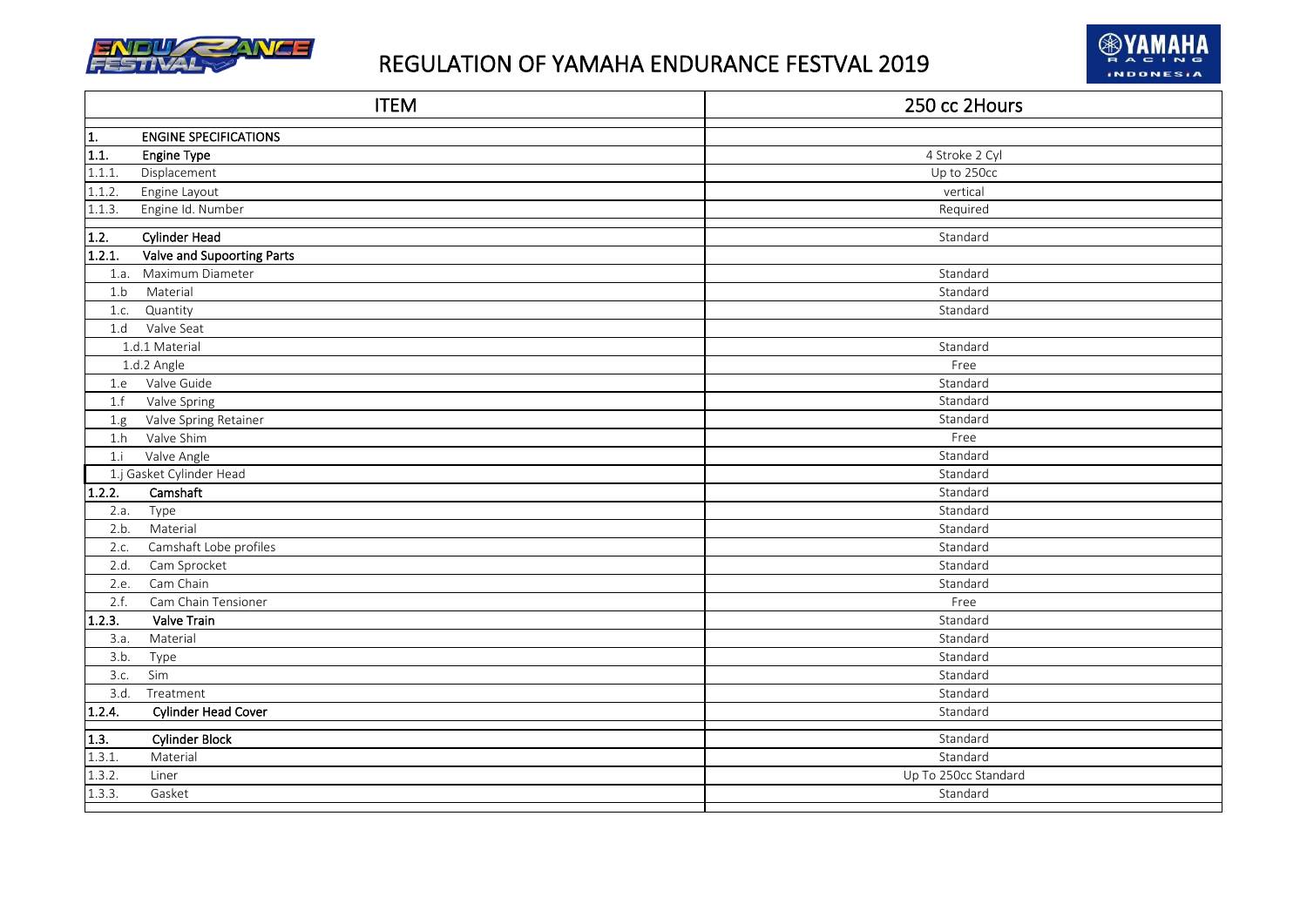



|                   | <b>ITEM</b>                  | 250 cc 2Hours        |
|-------------------|------------------------------|----------------------|
| 1.                | <b>ENGINE SPECIFICATIONS</b> |                      |
| $\frac{1}{1.1}$ . | <b>Engine Type</b>           | 4 Stroke 2 Cyl       |
| 1.1.1.            | Displacement                 | Up to 250cc          |
| 1.1.2.            | Engine Layout                | vertical             |
| 1.1.3.            | Engine Id. Number            | Required             |
| 1.2.              | <b>Cylinder Head</b>         | Standard             |
| 1.2.1.            | Valve and Supoorting Parts   |                      |
| 1.a.              | Maximum Diameter             | Standard             |
| 1.b               | Material                     | Standard             |
| 1.c.              | Quantity                     | Standard             |
| 1.d               | Valve Seat                   |                      |
|                   | 1.d.1 Material               | Standard             |
|                   | 1.d.2 Angle                  | Free                 |
| 1.e               | Valve Guide                  | Standard             |
| 1.f               | Valve Spring                 | Standard             |
| 1.g               | Valve Spring Retainer        | Standard             |
| 1.h               | Valve Shim                   | Free                 |
| 1.i               | Valve Angle                  | Standard             |
|                   | 1.j Gasket Cylinder Head     | Standard             |
| 1.2.2.            | Camshaft                     | Standard             |
| 2.a.              | Type                         | Standard             |
| 2.b.              | Material                     | Standard             |
| 2.c.              | Camshaft Lobe profiles       | Standard             |
| 2.d.              | Cam Sprocket                 | Standard             |
| 2.e.              | Cam Chain                    | Standard             |
| 2.f.              | Cam Chain Tensioner          | Free                 |
| 1.2.3.            | Valve Train                  | Standard             |
| 3.a.              | Material                     | Standard             |
| 3.b.              | Type                         | Standard             |
| 3.c.              | Sim                          | Standard             |
| 3.d.              | Treatment                    | Standard             |
| 1.2.4.            | <b>Cylinder Head Cover</b>   | Standard             |
| 1.3.              | <b>Cylinder Block</b>        | Standard             |
| 1.3.1.            | Material                     | Standard             |
| 1.3.2.            | Liner                        | Up To 250cc Standard |
| 1.3.3.            | Gasket                       | Standard             |
|                   |                              |                      |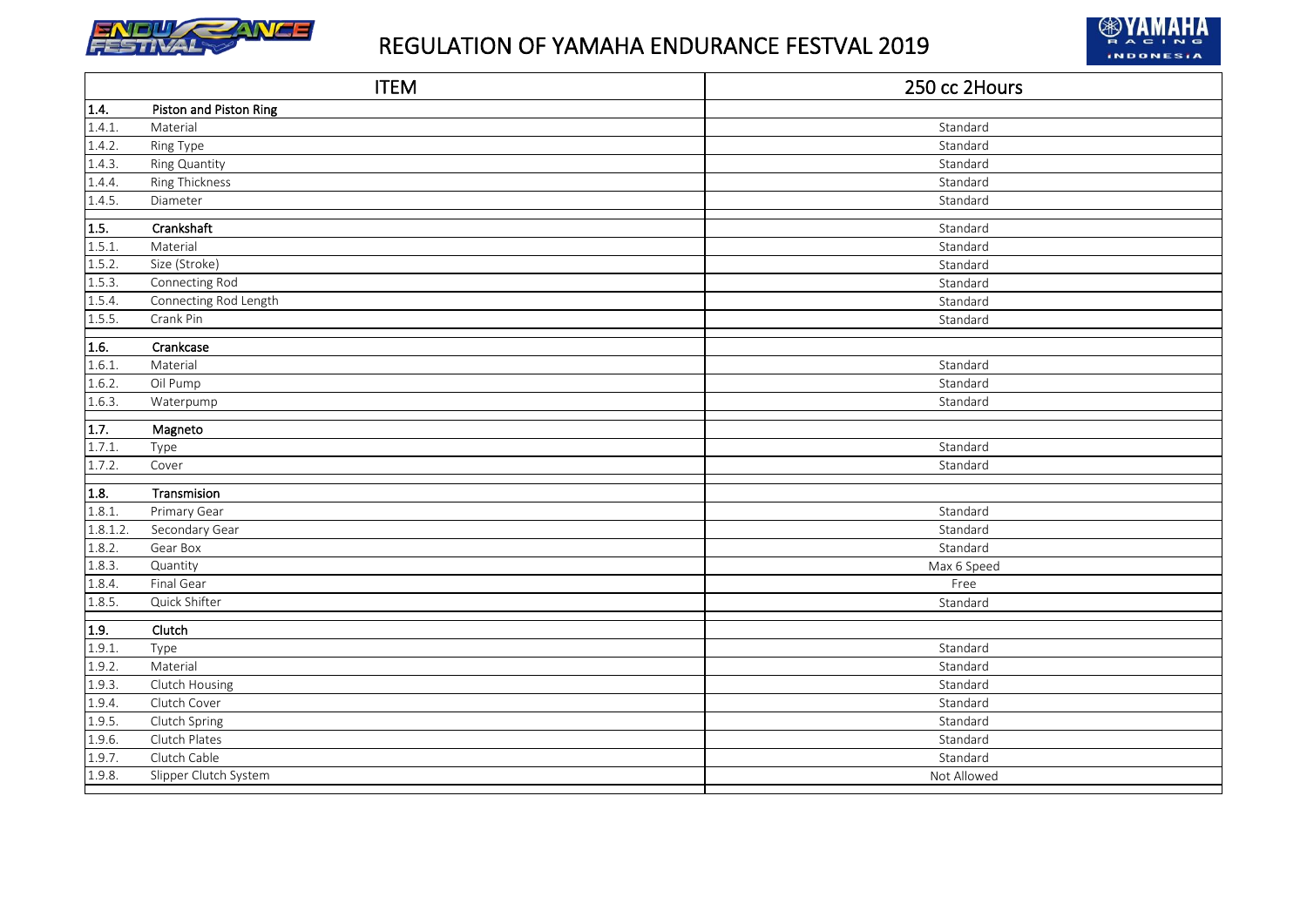



|              | <b>ITEM</b>            | 250 cc 2Hours |
|--------------|------------------------|---------------|
| 1.4.         | Piston and Piston Ring |               |
| 1.4.1.       | Material               | Standard      |
| 1.4.2.       | Ring Type              | Standard      |
| 1.4.3.       | Ring Quantity          | Standard      |
| 1.4.4.       | <b>Ring Thickness</b>  | Standard      |
| 1.4.5.       | Diameter               | Standard      |
| 1.5.         | Crankshaft             | Standard      |
| 1.5.1.       | Material               | Standard      |
| 1.5.2.       | Size (Stroke)          | Standard      |
| 1.5.3.       | Connecting Rod         | Standard      |
| 1.5.4.       | Connecting Rod Length  | Standard      |
| 1.5.5.       | Crank Pin              | Standard      |
| 1.6.         | Crankcase              |               |
| 1.6.1.       | Material               | Standard      |
| 1.6.2.       | Oil Pump               | Standard      |
| 1.6.3.       | Waterpump              | Standard      |
| 1.7.         | Magneto                |               |
| 1.7.1.       | Type                   | Standard      |
| 1.7.2.       | Cover                  | Standard      |
| 1.8.         | Transmision            |               |
| 1.8.1.       | Primary Gear           | Standard      |
| 1.8.1.2      | Secondary Gear         | Standard      |
| 1.8.2.       | Gear Box               | Standard      |
| 1.8.3.       | Quantity               | Max 6 Speed   |
| 1.8.4.       | Final Gear             | Free          |
| 1.8.5.       | Quick Shifter          | Standard      |
| $\vert$ 1.9. | Clutch                 |               |
| 1.9.1.       | Type                   | Standard      |
| 1.9.2.       | Material               | Standard      |
| 1.9.3.       | Clutch Housing         | Standard      |
| 1.9.4.       | Clutch Cover           | Standard      |
| 1.9.5.       | Clutch Spring          | Standard      |
| 1.9.6.       | Clutch Plates          | Standard      |
| 1.9.7.       | Clutch Cable           | Standard      |
| 1.9.8.       | Slipper Clutch System  | Not Allowed   |
|              |                        |               |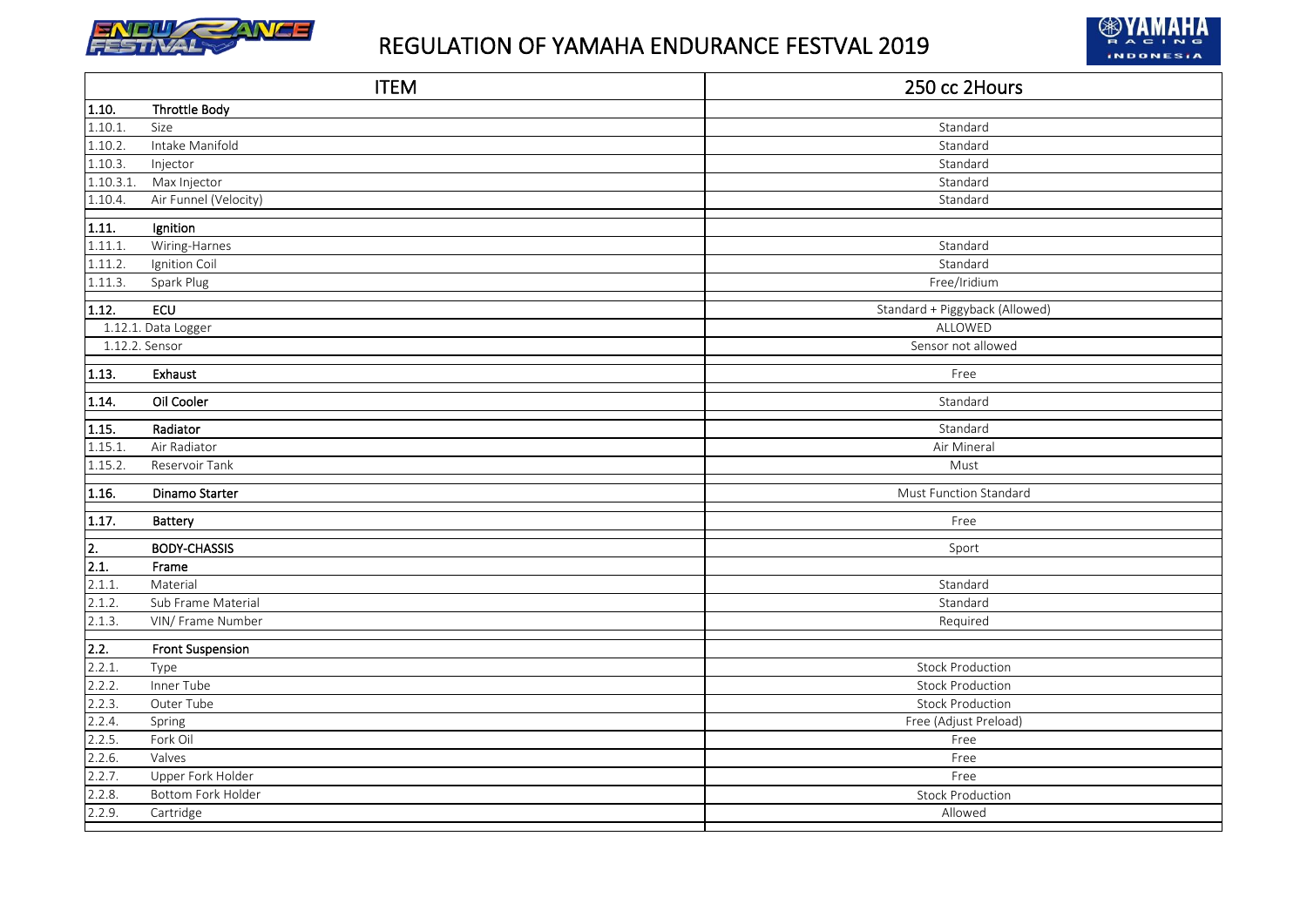



|           | <b>ITEM</b>             | 250 cc 2Hours                  |
|-----------|-------------------------|--------------------------------|
| 1.10.     | <b>Throttle Body</b>    |                                |
| 1.10.1.   | Size                    | Standard                       |
| 1.10.2.   | Intake Manifold         | Standard                       |
| 1.10.3.   | Injector                | Standard                       |
| 1.10.3.1. | Max Injector            | Standard                       |
| 1.10.4.   | Air Funnel (Velocity)   | Standard                       |
| 1.11.     | Ignition                |                                |
| 1.11.1.   | Wiring-Harnes           | Standard                       |
| 1.11.2.   | Ignition Coil           | Standard                       |
| 1.11.3.   | Spark Plug              | Free/Iridium                   |
| 1.12.     | ECU                     | Standard + Piggyback (Allowed) |
|           | 1.12.1. Data Logger     | ALLOWED                        |
|           | 1.12.2. Sensor          | Sensor not allowed             |
| 1.13.     | Exhaust                 | Free                           |
| 1.14.     | Oil Cooler              | Standard                       |
|           |                         |                                |
| 1.15.     | Radiator                | Standard                       |
| 1.15.1.   | Air Radiator            | Air Mineral                    |
| 1.15.2.   | Reservoir Tank          | Must                           |
| 1.16.     | Dinamo Starter          | Must Function Standard         |
| 1.17.     | Battery                 | Free                           |
| 2.        | <b>BODY-CHASSIS</b>     | Sport                          |
| 2.1.      | Frame                   |                                |
| 2.1.1.    | Material                | Standard                       |
| 2.1.2.    | Sub Frame Material      | Standard                       |
| 2.1.3.    | VIN/ Frame Number       | Required                       |
| 2.2.      | <b>Front Suspension</b> |                                |
| 2.2.1.    | Type                    | <b>Stock Production</b>        |
| 2.2.2.    | Inner Tube              | <b>Stock Production</b>        |
| 2.2.3.    | Outer Tube              | <b>Stock Production</b>        |
| 2.2.4.    | Spring                  | Free (Adjust Preload)          |
| 2.2.5.    | Fork Oil                | Free                           |
| 2.2.6.    | Valves                  | Free                           |
| 2.2.7.    | Upper Fork Holder       | Free                           |
| 2.2.8.    | Bottom Fork Holder      | <b>Stock Production</b>        |
| 2.2.9.    | Cartridge               | Allowed                        |
|           |                         |                                |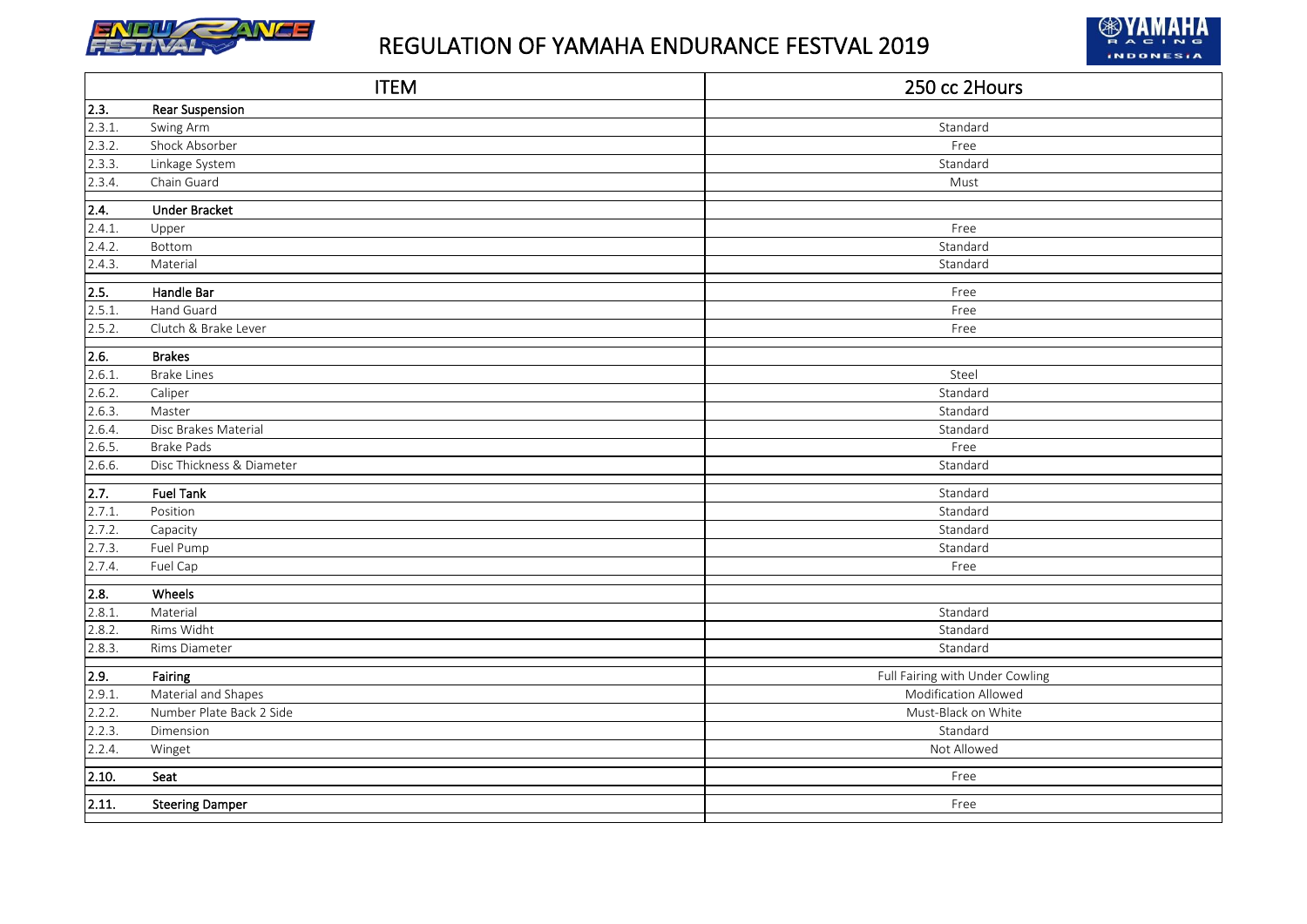



|        | <b>ITEM</b>               | 250 cc 2Hours                   |
|--------|---------------------------|---------------------------------|
| 2.3.   | <b>Rear Suspension</b>    |                                 |
| 2.3.1. | Swing Arm                 | Standard                        |
| 2.3.2. | Shock Absorber            | Free                            |
| 2.3.3. | Linkage System            | Standard                        |
| 2.3.4. | Chain Guard               | Must                            |
| 2.4.   | <b>Under Bracket</b>      |                                 |
| 2.4.1. | Upper                     | Free                            |
| 2.4.2. | Bottom                    | Standard                        |
| 2.4.3. | Material                  | Standard                        |
| 2.5.   | Handle Bar                | Free                            |
| 2.5.1. | Hand Guard                | Free                            |
| 2.5.2. | Clutch & Brake Lever      | Free                            |
| 2.6.   | <b>Brakes</b>             |                                 |
| 2.6.1  | <b>Brake Lines</b>        | Steel                           |
| 2.6.2. | Caliper                   | Standard                        |
| 2.6.3. | Master                    | Standard                        |
| 2.6.4. | Disc Brakes Material      | Standard                        |
| 2.6.5. | <b>Brake Pads</b>         | Free                            |
| 2.6.6. | Disc Thickness & Diameter | Standard                        |
| 2.7.   | <b>Fuel Tank</b>          | Standard                        |
| 2.7.1  | Position                  | Standard                        |
| 2.7.2. | Capacity                  | Standard                        |
| 2.7.3. | Fuel Pump                 | Standard                        |
| 2.7.4. | Fuel Cap                  | Free                            |
| 2.8.   | Wheels                    |                                 |
| 2.8.1. | Material                  | Standard                        |
| 2.8.2. | Rims Widht                | Standard                        |
| 2.8.3. | Rims Diameter             | Standard                        |
| 2.9.   | Fairing                   | Full Fairing with Under Cowling |
| 2.9.1. | Material and Shapes       | Modification Allowed            |
| 2.2.2. | Number Plate Back 2 Side  | Must-Black on White             |
| 2.2.3. | Dimension                 | Standard                        |
| 2.2.4. | Winget                    | Not Allowed                     |
| 2.10.  | Seat                      | Free                            |
| 2.11.  |                           | Free                            |
|        | <b>Steering Damper</b>    |                                 |